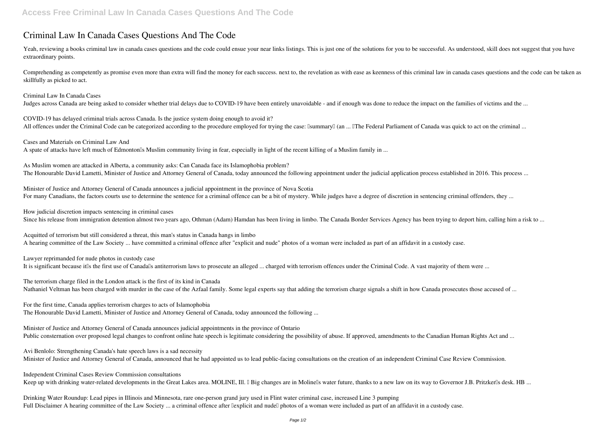## **Criminal Law In Canada Cases Questions And The Code**

Yeah, reviewing a books criminal law in canada cases questions and the code could ensue your near links listings. This is just one of the solutions for you to be successful. As understood, skill does not suggest that you h extraordinary points.

*COVID-19 has delayed criminal trials across Canada. Is the justice system doing enough to avoid it?* All offences under the Criminal Code can be categorized according to the procedure employed for trying the case: IsummaryII (an ... IThe Federal Parliament of Canada was quick to act on the criminal ...

Comprehending as competently as promise even more than extra will find the money for each success. next to, the revelation as with ease as keenness of this criminal law in canada cases questions and the code can be taken as skillfully as picked to act.

*Criminal Law In Canada Cases*

*As Muslim women are attacked in Alberta, a community asks: Can Canada face its Islamophobia problem?* The Honourable David Lametti, Minister of Justice and Attorney General of Canada, today announced the following appointment under the judicial application process established in 2016. This process ...

Judges across Canada are being asked to consider whether trial delays due to COVID-19 have been entirely unavoidable - and if enough was done to reduce the impact on the families of victims and the ...

*Minister of Justice and Attorney General of Canada announces a judicial appointment in the province of Nova Scotia* For many Canadians, the factors courts use to determine the sentence for a criminal offence can be a bit of mystery. While judges have a degree of discretion in sentencing criminal offenders, they ...

*Cases and Materials on Criminal Law And*

A spate of attacks have left much of Edmonton<sup>'s</sup> Muslim community living in fear, especially in light of the recent killing of a Muslim family in ...

*The terrorism charge filed in the London attack is the first of its kind in Canada* Nathaniel Veltman has been charged with murder in the case of the Azfaal family. Some legal experts say that adding the terrorism charge signals a shift in how Canada prosecutes those accused of ...

*Minister of Justice and Attorney General of Canada announces judicial appointments in the province of Ontario* Public consternation over proposed legal changes to confront online hate speech is legitimate considering the possibility of abuse. If approved, amendments to the Canadian Human Rights Act and ...

*Independent Criminal Cases Review Commission consultations* Keep up with drinking water-related developments in the Great Lakes area. MOLINE, Ill. I Big changes are in Molinells water future, thanks to a new law on its way to Governor J.B. Pritzkerlls desk. HB ...

*How judicial discretion impacts sentencing in criminal cases*

Since his release from immigration detention almost two years ago, Othman (Adam) Hamdan has been living in limbo. The Canada Border Services Agency has been trying to deport him, calling him a risk to ...

*Drinking Water Roundup: Lead pipes in Illinois and Minnesota, rare one-person grand jury used in Flint water criminal case, increased Line 3 pumping* Full Disclaimer A hearing committee of the Law Society ... a criminal offence after llexplicit and nudell photos of a woman were included as part of an affidavit in a custody case.

*Acquitted of terrorism but still considered a threat, this man's status in Canada hangs in limbo* A hearing committee of the Law Society ... have committed a criminal offence after "explicit and nude" photos of a woman were included as part of an affidavit in a custody case.

*Lawyer reprimanded for nude photos in custody case*

It is significant because it use of Canada antiterrorism laws to prosecute an alleged ... charged with terrorism offences under the Criminal Code. A vast majority of them were ...

*For the first time, Canada applies terrorism charges to acts of Islamophobia* The Honourable David Lametti, Minister of Justice and Attorney General of Canada, today announced the following ...

*Avi Benlolo: Strengthening Canada's hate speech laws is a sad necessity* Minister of Justice and Attorney General of Canada, announced that he had appointed us to lead public-facing consultations on the creation of an independent Criminal Case Review Commission.